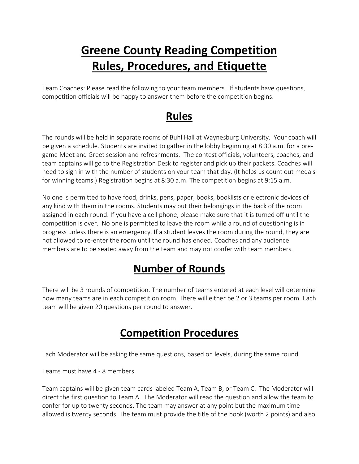# **Greene County Reading Competition Rules, Procedures, and Etiquette**

Team Coaches: Please read the following to your team members. If students have questions, competition officials will be happy to answer them before the competition begins.

### **Rules**

The rounds will be held in separate rooms of Buhl Hall at Waynesburg University. Your coach will be given a schedule. Students are invited to gather in the lobby beginning at 8:30 a.m. for a pregame Meet and Greet session and refreshments. The contest officials, volunteers, coaches, and team captains will go to the Registration Desk to register and pick up their packets. Coaches will need to sign in with the number of students on your team that day. (It helps us count out medals for winning teams.) Registration begins at 8:30 a.m. The competition begins at 9:15 a.m.

No one is permitted to have food, drinks, pens, paper, books, booklists or electronic devices of any kind with them in the rooms. Students may put their belongings in the back of the room assigned in each round. If you have a cell phone, please make sure that it is turned off until the competition is over. No one is permitted to leave the room while a round of questioning is in progress unless there is an emergency. If a student leaves the room during the round, they are not allowed to re-enter the room until the round has ended. Coaches and any audience members are to be seated away from the team and may not confer with team members.

## **Number of Rounds**

There will be 3 rounds of competition. The number of teams entered at each level will determine how many teams are in each competition room. There will either be 2 or 3 teams per room. Each team will be given 20 questions per round to answer.

#### **Competition Procedures**

Each Moderator will be asking the same questions, based on levels, during the same round.

Teams must have 4 - 8 members.

Team captains will be given team cards labeled Team A, Team B, or Team C. The Moderator will direct the first question to Team A. The Moderator will read the question and allow the team to confer for up to twenty seconds. The team may answer at any point but the maximum time allowed is twenty seconds. The team must provide the title of the book (worth 2 points) and also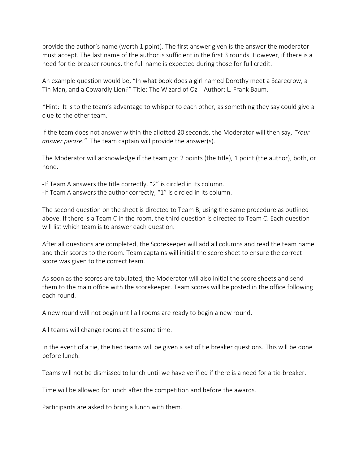provide the author's name (worth 1 point). The first answer given is the answer the moderator must accept. The last name of the author is sufficient in the first 3 rounds. However, if there is a need for tie-breaker rounds, the full name is expected during those for full credit.

An example question would be, "In what book does a girl named Dorothy meet a Scarecrow, a Tin Man, and a Cowardly Lion?" Title: The Wizard of Oz Author: L. Frank Baum.

\*Hint: It is to the team's advantage to whisper to each other, as something they say could give a clue to the other team.

If the team does not answer within the allotted 20 seconds, the Moderator will then say, *"Your answer please."* The team captain will provide the answer(s).

The Moderator will acknowledge if the team got 2 points (the title), 1 point (the author), both, or none.

-If Team A answers the title correctly, "2" is circled in its column. -If Team A answers the author correctly, "1" is circled in its column.

The second question on the sheet is directed to Team B, using the same procedure as outlined above. If there is a Team C in the room, the third question is directed to Team C. Each question will list which team is to answer each question.

After all questions are completed, the Scorekeeper will add all columns and read the team name and their scores to the room. Team captains will initial the score sheet to ensure the correct score was given to the correct team.

As soon as the scores are tabulated, the Moderator will also initial the score sheets and send them to the main office with the scorekeeper. Team scores will be posted in the office following each round.

A new round will not begin until all rooms are ready to begin a new round.

All teams will change rooms at the same time.

In the event of a tie, the tied teams will be given a set of tie breaker questions. This will be done before lunch.

Teams will not be dismissed to lunch until we have verified if there is a need for a tie-breaker.

Time will be allowed for lunch after the competition and before the awards.

Participants are asked to bring a lunch with them.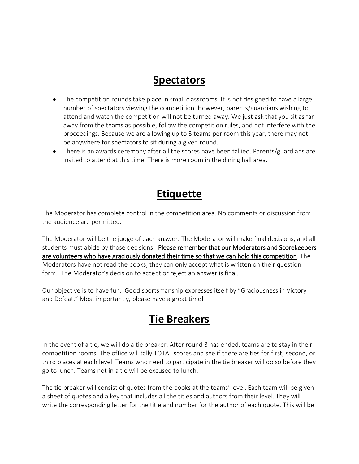#### **Spectators**

- The competition rounds take place in small classrooms. It is not designed to have a large number of spectators viewing the competition. However, parents/guardians wishing to attend and watch the competition will not be turned away. We just ask that you sit as far away from the teams as possible, follow the competition rules, and not interfere with the proceedings. Because we are allowing up to 3 teams per room this year, there may not be anywhere for spectators to sit during a given round.
- There is an awards ceremony after all the scores have been tallied. Parents/guardians are invited to attend at this time. There is more room in the dining hall area.

#### **Etiquette**

The Moderator has complete control in the competition area. No comments or discussion from the audience are permitted.

The Moderator will be the judge of each answer. The Moderator will make final decisions, and all students must abide by those decisions. Please remember that our Moderators and Scorekeepers are volunteers who have graciously donated their time so that we can hold this competition. The Moderators have not read the books; they can only accept what is written on their question form. The Moderator's decision to accept or reject an answer is final.

Our objective is to have fun. Good sportsmanship expresses itself by "Graciousness in Victory and Defeat." Most importantly, please have a great time!

#### **Tie Breakers**

In the event of a tie, we will do a tie breaker. After round 3 has ended, teams are to stay in their competition rooms. The office will tally TOTAL scores and see if there are ties for first, second, or third places at each level. Teams who need to participate in the tie breaker will do so before they go to lunch. Teams not in a tie will be excused to lunch.

The tie breaker will consist of quotes from the books at the teams' level. Each team will be given a sheet of quotes and a key that includes all the titles and authors from their level. They will write the corresponding letter for the title and number for the author of each quote. This will be